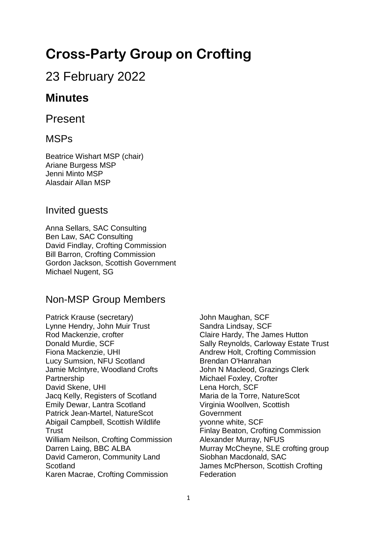# **Cross-Party Group on Crofting**

# 23 February 2022

# **Minutes**

Present

### MSPs

Beatrice Wishart MSP (chair) Ariane Burgess MSP Jenni Minto MSP Alasdair Allan MSP

### Invited guests

Anna Sellars, SAC Consulting Ben Law, SAC Consulting David Findlay, Crofting Commission Bill Barron, Crofting Commission Gordon Jackson, Scottish Government Michael Nugent, SG

## Non-MSP Group Members

Patrick Krause (secretary) Lynne Hendry, John Muir Trust Rod Mackenzie, crofter Donald Murdie, SCF Fiona Mackenzie, UHI Lucy Sumsion, NFU Scotland Jamie McIntyre, Woodland Crofts **Partnership** David Skene, UHI Jacq Kelly, Registers of Scotland Emily Dewar, Lantra Scotland Patrick Jean-Martel, NatureScot Abigail Campbell, Scottish Wildlife **Trust** William Neilson, Crofting Commission Darren Laing, BBC ALBA David Cameron, Community Land **Scotland** Karen Macrae, Crofting Commission

John Maughan, SCF Sandra Lindsay, SCF Claire Hardy, The James Hutton Sally Reynolds, Carloway Estate Trust Andrew Holt, Crofting Commission Brendan O'Hanrahan John N Macleod, Grazings Clerk Michael Foxley, Crofter Lena Horch, SCF Maria de la Torre, NatureScot Virginia Woollven, Scottish **Government** yvonne white, SCF Finlay Beaton, Crofting Commission Alexander Murray, NFUS Murray McCheyne, SLE crofting group Siobhan Macdonald, SAC James McPherson, Scottish Crofting **Federation**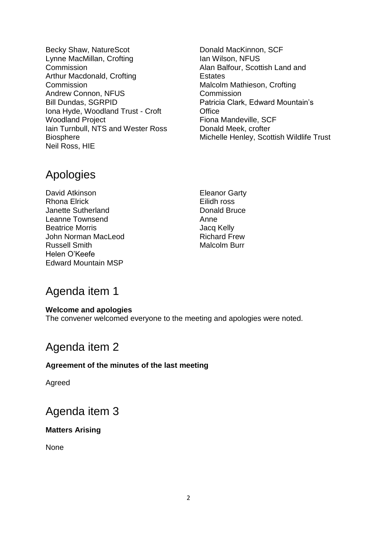- Becky Shaw, NatureScot Lynne MacMillan, Crofting Commission Arthur Macdonald, Crofting **Commission** Andrew Connon, NFUS Bill Dundas, SGRPID Iona Hyde, Woodland Trust - Croft Woodland Project Iain Turnbull, NTS and Wester Ross Biosphere Neil Ross, HIE
- Donald MacKinnon, SCF Ian Wilson, NFUS Alan Balfour, Scottish Land and **Estates** Malcolm Mathieson, Crofting **Commission** Patricia Clark, Edward Mountain's **Office** Fiona Mandeville, SCF Donald Meek, crofter Michelle Henley, Scottish Wildlife Trust

# Apologies

David Atkinson Rhona Elrick Janette Sutherland Leanne Townsend Beatrice Morris John Norman MacLeod Russell Smith Helen O'Keefe Edward Mountain MSP

Eleanor Garty Eilidh ross Donald Bruce Anne Jacq Kelly Richard Frew Malcolm Burr

# Agenda item 1

### **Welcome and apologies**

The convener welcomed everyone to the meeting and apologies were noted.

# Agenda item 2

### **Agreement of the minutes of the last meeting**

Agreed

# Agenda item 3

### **Matters Arising**

None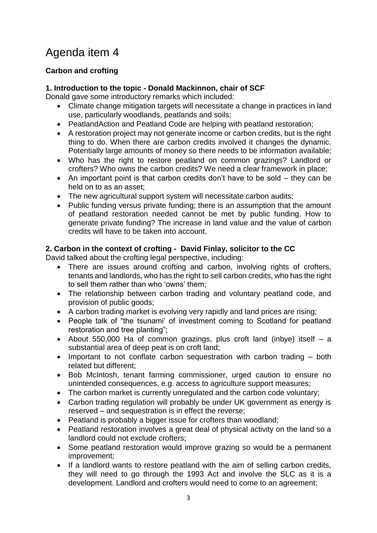# Agenda item 4

### **Carbon and crofting**

### **1. Introduction to the topic - Donald Mackinnon, chair of SCF**

Donald gave some introductory remarks which included:

- Climate change mitigation targets will necessitate a change in practices in land use, particularly woodlands, peatlands and soils;
- PeatlandAction and Peatland Code are helping with peatland restoration;
- A restoration project may not generate income or carbon credits, but is the right thing to do. When there are carbon credits involved it changes the dynamic. Potentially large amounts of money so there needs to be information available;
- Who has the right to restore peatland on common grazings? Landlord or crofters? Who owns the carbon credits? We need a clear framework in place;
- An important point is that carbon credits don't have to be sold they can be held on to as an asset:
- The new agricultural support system will necessitate carbon audits;
- Public funding versus private funding; there is an assumption that the amount of peatland restoration needed cannot be met by public funding. How to generate private funding? The increase in land value and the value of carbon credits will have to be taken into account.

### **2. Carbon in the context of crofting - David Finlay, solicitor to the CC**

David talked about the crofting legal perspective, including:

- There are issues around crofting and carbon, involving rights of crofters, tenants and landlords, who has the right to sell carbon credits, who has the right to sell them rather than who 'owns' them;
- The relationship between carbon trading and voluntary peatland code, and provision of public goods;
- A carbon trading market is evolving very rapidly and land prices are rising;
- People talk of "the tsunami" of investment coming to Scotland for peatland restoration and tree planting";
- About 550,000 Ha of common grazings, plus croft land (inbye) itself a substantial area of deep peat is on croft land;
- Important to not conflate carbon sequestration with carbon trading both related but different;
- Bob McIntosh, tenant farming commissioner, urged caution to ensure no unintended consequences, e.g. access to agriculture support measures;
- The carbon market is currently unregulated and the carbon code voluntary;
- Carbon trading regulation will probably be under UK government as energy is reserved – and sequestration is in effect the reverse;
- Peatland is probably a bigger issue for crofters than woodland;
- Peatland restoration involves a great deal of physical activity on the land so a landlord could not exclude crofters;
- Some peatland restoration would improve grazing so would be a permanent improvement;
- If a landlord wants to restore peatland with the aim of selling carbon credits, they will need to go through the 1993 Act and involve the SLC as it is a development. Landlord and crofters would need to come to an agreement;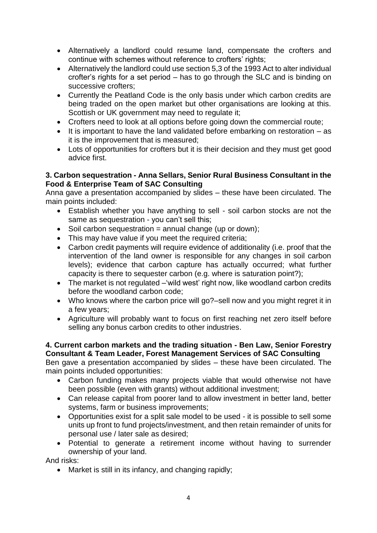- Alternatively a landlord could resume land, compensate the crofters and continue with schemes without reference to crofters' rights;
- Alternatively the landlord could use section 5,3 of the 1993 Act to alter individual crofter's rights for a set period – has to go through the SLC and is binding on successive crofters;
- Currently the Peatland Code is the only basis under which carbon credits are being traded on the open market but other organisations are looking at this. Scottish or UK government may need to regulate it;
- Crofters need to look at all options before going down the commercial route;
- It is important to have the land validated before embarking on restoration  $-$  as it is the improvement that is measured;
- Lots of opportunities for crofters but it is their decision and they must get good advice first.

#### **3. Carbon sequestration - Anna Sellars, Senior Rural Business Consultant in the Food & Enterprise Team of SAC Consulting**

Anna gave a presentation accompanied by slides – these have been circulated. The main points included:

- Establish whether you have anything to sell soil carbon stocks are not the same as sequestration - you can't sell this;
- $\bullet$  Soil carbon sequestration = annual change (up or down);
- This may have value if you meet the required criteria;
- Carbon credit payments will require evidence of additionality (i.e. proof that the intervention of the land owner is responsible for any changes in soil carbon levels); evidence that carbon capture has actually occurred; what further capacity is there to sequester carbon (e.g. where is saturation point?);
- The market is not regulated –'wild west' right now, like woodland carbon credits before the woodland carbon code;
- Who knows where the carbon price will go?–sell now and you might regret it in a few years;
- Agriculture will probably want to focus on first reaching net zero itself before selling any bonus carbon credits to other industries.

#### **4. Current carbon markets and the trading situation - Ben Law, Senior Forestry Consultant & Team Leader, Forest Management Services of SAC Consulting**

Ben gave a presentation accompanied by slides – these have been circulated. The main points included opportunities:

- Carbon funding makes many projects viable that would otherwise not have been possible (even with grants) without additional investment;
- Can release capital from poorer land to allow investment in better land, better systems, farm or business improvements;
- Opportunities exist for a split sale model to be used it is possible to sell some units up front to fund projects/investment, and then retain remainder of units for personal use / later sale as desired;
- Potential to generate a retirement income without having to surrender ownership of your land.

And risks:

• Market is still in its infancy, and changing rapidly;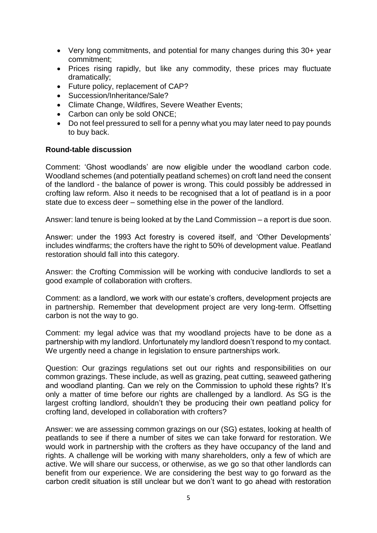- Very long commitments, and potential for many changes during this 30+ year commitment;
- Prices rising rapidly, but like any commodity, these prices may fluctuate dramatically;
- Future policy, replacement of CAP?
- Succession/Inheritance/Sale?
- Climate Change, Wildfires, Severe Weather Events;
- Carbon can only be sold ONCE;
- Do not feel pressured to sell for a penny what you may later need to pay pounds to buy back.

#### **Round-table discussion**

Comment: 'Ghost woodlands' are now eligible under the woodland carbon code. Woodland schemes (and potentially peatland schemes) on croft land need the consent of the landlord - the balance of power is wrong. This could possibly be addressed in crofting law reform. Also it needs to be recognised that a lot of peatland is in a poor state due to excess deer – something else in the power of the landlord.

Answer: land tenure is being looked at by the Land Commission – a report is due soon.

Answer: under the 1993 Act forestry is covered itself, and 'Other Developments' includes windfarms; the crofters have the right to 50% of development value. Peatland restoration should fall into this category.

Answer: the Crofting Commission will be working with conducive landlords to set a good example of collaboration with crofters.

Comment: as a landlord, we work with our estate's crofters, development projects are in partnership. Remember that development project are very long-term. Offsetting carbon is not the way to go.

Comment: my legal advice was that my woodland projects have to be done as a partnership with my landlord. Unfortunately my landlord doesn't respond to my contact. We urgently need a change in legislation to ensure partnerships work.

Question: Our grazings regulations set out our rights and responsibilities on our common grazings. These include, as well as grazing, peat cutting, seaweed gathering and woodland planting. Can we rely on the Commission to uphold these rights? It's only a matter of time before our rights are challenged by a landlord. As SG is the largest crofting landlord, shouldn't they be producing their own peatland policy for crofting land, developed in collaboration with crofters?

Answer: we are assessing common grazings on our (SG) estates, looking at health of peatlands to see if there a number of sites we can take forward for restoration. We would work in partnership with the crofters as they have occupancy of the land and rights. A challenge will be working with many shareholders, only a few of which are active. We will share our success, or otherwise, as we go so that other landlords can benefit from our experience. We are considering the best way to go forward as the carbon credit situation is still unclear but we don't want to go ahead with restoration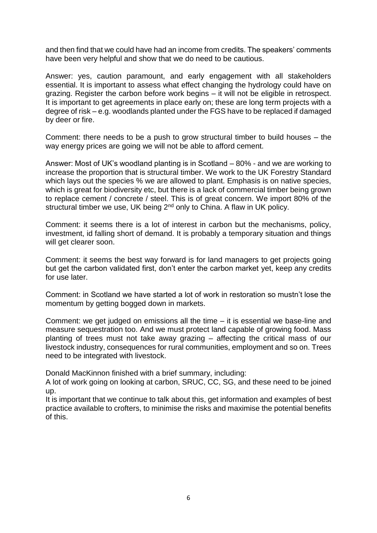and then find that we could have had an income from credits. The speakers' comments have been very helpful and show that we do need to be cautious.

Answer: yes, caution paramount, and early engagement with all stakeholders essential. It is important to assess what effect changing the hydrology could have on grazing. Register the carbon before work begins – it will not be eligible in retrospect. It is important to get agreements in place early on; these are long term projects with a degree of risk – e.g. woodlands planted under the FGS have to be replaced if damaged by deer or fire.

Comment: there needs to be a push to grow structural timber to build houses – the way energy prices are going we will not be able to afford cement.

Answer: Most of UK's woodland planting is in Scotland – 80% - and we are working to increase the proportion that is structural timber. We work to the UK Forestry Standard which lays out the species % we are allowed to plant. Emphasis is on native species, which is great for biodiversity etc, but there is a lack of commercial timber being grown to replace cement / concrete / steel. This is of great concern. We import 80% of the structural timber we use, UK being 2<sup>nd</sup> only to China. A flaw in UK policy.

Comment: it seems there is a lot of interest in carbon but the mechanisms, policy, investment, id falling short of demand. It is probably a temporary situation and things will get clearer soon.

Comment: it seems the best way forward is for land managers to get projects going but get the carbon validated first, don't enter the carbon market yet, keep any credits for use later.

Comment: in Scotland we have started a lot of work in restoration so mustn't lose the momentum by getting bogged down in markets.

Comment: we get judged on emissions all the time – it is essential we base-line and measure sequestration too. And we must protect land capable of growing food. Mass planting of trees must not take away grazing – affecting the critical mass of our livestock industry, consequences for rural communities, employment and so on. Trees need to be integrated with livestock.

Donald MacKinnon finished with a brief summary, including:

A lot of work going on looking at carbon, SRUC, CC, SG, and these need to be joined up.

It is important that we continue to talk about this, get information and examples of best practice available to crofters, to minimise the risks and maximise the potential benefits of this.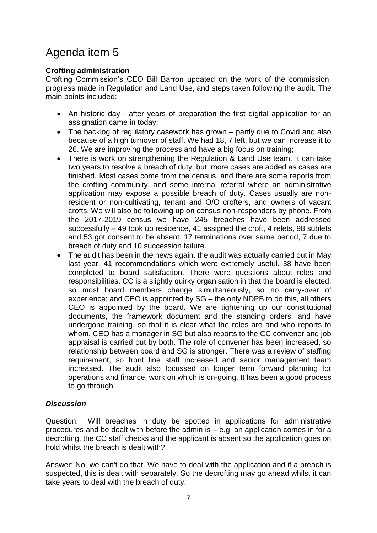# Agenda item 5

### **Crofting administration**

Crofting Commission's CEO Bill Barron updated on the work of the commission, progress made in Regulation and Land Use, and steps taken following the audit. The main points included:

- An historic day after years of preparation the first digital application for an assignation came in today;
- The backlog of regulatory casework has grown partly due to Covid and also because of a high turnover of staff. We had 18, 7 left, but we can increase it to 26. We are improving the process and have a big focus on training;
- There is work on strengthening the Regulation & Land Use team. It can take two years to resolve a breach of duty, but more cases are added as cases are finished. Most cases come from the census, and there are some reports from the crofting community, and some internal referral where an administrative application may expose a possible breach of duty. Cases usually are nonresident or non-cultivating, tenant and O/O crofters, and owners of vacant crofts. We will also be following up on census non-responders by phone. From the 2017-2019 census we have 245 breaches have been addressed successfully – 49 took up residence, 41 assigned the croft, 4 relets, 98 sublets and 53 got consent to be absent. 17 terminations over same period, 7 due to breach of duty and 10 succession failure.
- The audit has been in the news again. the audit was actually carried out in May last year. 41 recommendations which were extremely useful. 38 have been completed to board satisfaction. There were questions about roles and responsibilities. CC is a slightly quirky organisation in that the board is elected, so most board members change simultaneously, so no carry-over of experience; and CEO is appointed by SG – the only NDPB to do this, all others CEO is appointed by the board. We are tightening up our constitutional documents, the framework document and the standing orders, and have undergone training, so that it is clear what the roles are and who reports to whom. CEO has a manager in SG but also reports to the CC convener and job appraisal is carried out by both. The role of convener has been increased, so relationship between board and SG is stronger. There was a review of staffing requirement, so front line staff increased and senior management team increased. The audit also focussed on longer term forward planning for operations and finance, work on which is on-going. It has been a good process to go through.

### *Discussion*

Question: Will breaches in duty be spotted in applications for administrative procedures and be dealt with before the admin is – e.g. an application comes in for a decrofting, the CC staff checks and the applicant is absent so the application goes on hold whilst the breach is dealt with?

Answer: No, we can't do that. We have to deal with the application and if a breach is suspected, this is dealt with separately. So the decrofting may go ahead whilst it can take years to deal with the breach of duty.